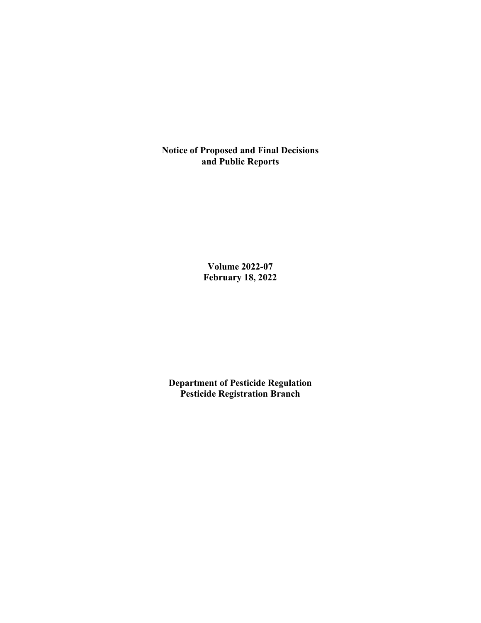**Notice of Proposed and Final Decisions and Public Reports**

> **Volume 2022-07 February 18, 2022**

**Department of Pesticide Regulation Pesticide Registration Branch**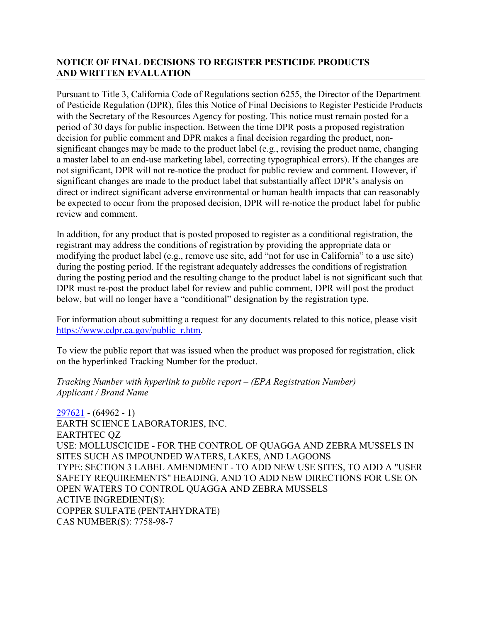# **NOTICE OF FINAL DECISIONS TO REGISTER PESTICIDE PRODUCTS AND WRITTEN EVALUATION**

Pursuant to Title 3, California Code of Regulations section 6255, the Director of the Department of Pesticide Regulation (DPR), files this Notice of Final Decisions to Register Pesticide Products with the Secretary of the Resources Agency for posting. This notice must remain posted for a period of 30 days for public inspection. Between the time DPR posts a proposed registration decision for public comment and DPR makes a final decision regarding the product, nonsignificant changes may be made to the product label (e.g., revising the product name, changing a master label to an end-use marketing label, correcting typographical errors). If the changes are not significant, DPR will not re-notice the product for public review and comment. However, if significant changes are made to the product label that substantially affect DPR's analysis on direct or indirect significant adverse environmental or human health impacts that can reasonably be expected to occur from the proposed decision, DPR will re-notice the product label for public review and comment.

In addition, for any product that is posted proposed to register as a conditional registration, the registrant may address the conditions of registration by providing the appropriate data or modifying the product label (e.g., remove use site, add "not for use in California" to a use site) during the posting period. If the registrant adequately addresses the conditions of registration during the posting period and the resulting change to the product label is not significant such that DPR must re-post the product label for review and public comment, DPR will post the product below, but will no longer have a "conditional" designation by the registration type.

For information about submitting a request for any documents related to this notice, please visit [https://www.cdpr.ca.gov/public\\_r.htm.](https://www.cdpr.ca.gov/public_r.htm)

To view the public report that was issued when the product was proposed for registration, click on the hyperlinked Tracking Number for the product.

### *Tracking Number with hyperlink to public report – (EPA Registration Number) Applicant / Brand Name*

[297621](https://www.cdpr.ca.gov/docs/registration/nod/public_reports/297621.pdf) - (64962 - 1) EARTH SCIENCE LABORATORIES, INC. EARTHTEC QZ USE: MOLLUSCICIDE - FOR THE CONTROL OF QUAGGA AND ZEBRA MUSSELS IN SITES SUCH AS IMPOUNDED WATERS, LAKES, AND LAGOONS TYPE: SECTION 3 LABEL AMENDMENT - TO ADD NEW USE SITES, TO ADD A "USER SAFETY REQUIREMENTS" HEADING, AND TO ADD NEW DIRECTIONS FOR USE ON OPEN WATERS TO CONTROL QUAGGA AND ZEBRA MUSSELS ACTIVE INGREDIENT(S): COPPER SULFATE (PENTAHYDRATE) CAS NUMBER(S): 7758-98-7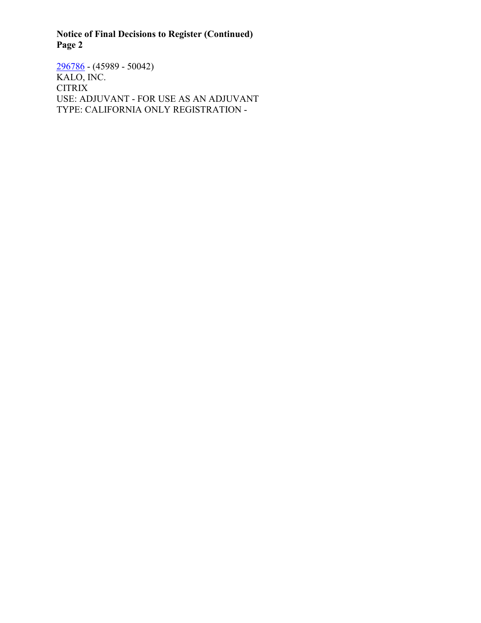**Notice of Final Decisions to Register (Continued) Page 2**

[296786](https://www.cdpr.ca.gov/docs/registration/nod/public_reports/296786.pdf) - (45989 - 50042) KALO, INC. CITRIX USE: ADJUVANT - FOR USE AS AN ADJUVANT TYPE: CALIFORNIA ONLY REGISTRATION -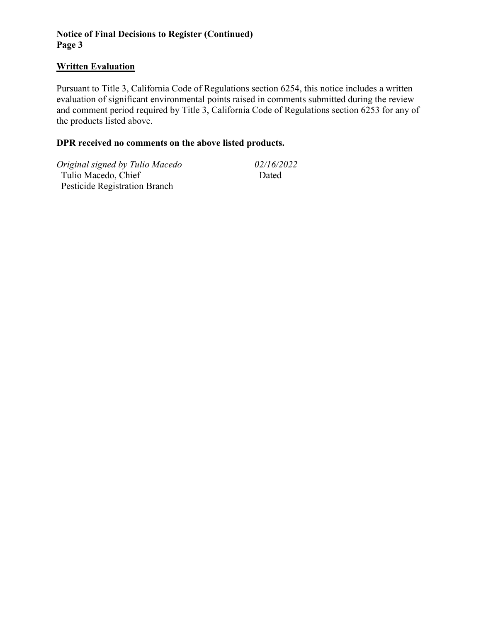# **Notice of Final Decisions to Register (Continued) Page 3**

#### **Written Evaluation**

Pursuant to Title 3, California Code of Regulations section 6254, this notice includes a written evaluation of significant environmental points raised in comments submitted during the review and comment period required by Title 3, California Code of Regulations section 6253 for any of the products listed above.

# **DPR received no comments on the above listed products.**

*Original signed by Tulio Macedo 02/16/2022*

 Tulio Macedo, Chief Pesticide Registration Branch Dated